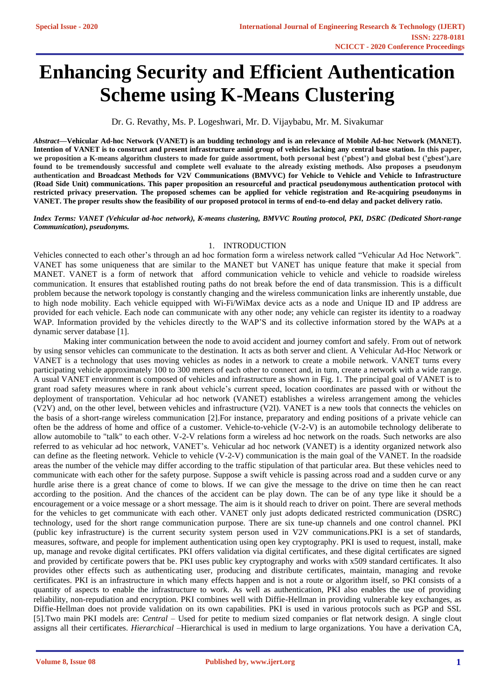# **Enhancing Security and Efficient Authentication Scheme using K-Means Clustering**

Dr. G. Revathy, Ms. P. Logeshwari, Mr. D. Vijaybabu, Mr. M. Sivakumar

*Abstract***—Vehicular Ad-hoc Network (VANET) is an budding technology and is an relevance of Mobile Ad-hoc Network (MANET). Intention of VANET is to construct and present infrastructure amid group of vehicles lacking any central base station. In this paper, we proposition a K-means algorithm clusters to made for guide assortment, both personal best ('pbest') and global best ('gbest'),are found to be tremendously successful and complete well evaluate to the already existing methods. Also proposes a pseudonym authentication and Broadcast Methods for V2V Communications (BMVVC) for Vehicle to Vehicle and Vehicle to Infrastructure (Road Side Unit) communications. This paper proposition an resourceful and practical pseudonymous authentication protocol with restricted privacy preservation. The proposed schemes can be applied for vehicle registration and Re-acquiring pseudonyms in VANET. The proper results show the feasibility of our proposed protocol in terms of end-to-end delay and packet delivery ratio.**

*Index Terms: VANET (Vehicular ad-hoc network), K-means clustering, BMVVC Routing protocol, PKI, DSRC (Dedicated Short-range Communication), pseudonyms.*

## 1. INTRODUCTION

Vehicles connected to each other's through an ad hoc formation form a wireless network called "Vehicular Ad Hoc Network". VANET has some uniqueness that are similar to the MANET but VANET has unique feature that make it special from MANET. VANET is a form of network that afford communication vehicle to vehicle and vehicle to roadside wireless communication. It ensures that established routing paths do not break before the end of data transmission. This is a difficult problem because the network topology is constantly changing and the wireless communication links are inherently unstable, due to high node mobility. Each vehicle equipped with Wi-Fi/WiMax device acts as a node and Unique ID and IP address are provided for each vehicle. Each node can communicate with any other node; any vehicle can register its identity to a roadway WAP. Information provided by the vehicles directly to the WAP'S and its collective information stored by the WAPs at a dynamic server database [1].

Making inter communication between the node to avoid accident and journey comfort and safely. From out of network by using sensor vehicles can communicate to the destination. It acts as both server and client. A Vehicular Ad-Hoc Network or VANET is a technology that uses moving vehicles as nodes in a network to create a mobile network. VANET turns every participating vehicle approximately 100 to 300 meters of each other to connect and, in turn, create a network with a wide range. A usual VANET environment is composed of vehicles and infrastructure as shown in Fig. 1. The principal goal of VANET is to grant road safety measures where in rank about vehicle's current speed, location coordinates are passed with or without the deployment of transportation. Vehicular ad hoc network (VANET) establishes a wireless arrangement among the vehicles (V2V) and, on the other level, between vehicles and infrastructure (V2I). VANET is a new tools that connects the vehicles on the basis of a short-range wireless communication [2].For instance, preparatory and ending positions of a private vehicle can often be the address of home and office of a customer. Vehicle-to-vehicle (V-2-V) is an automobile technology deliberate to allow automobile to "talk" to each other. V-2-V relations form a [wireless ad hoc network](https://en.wikipedia.org/wiki/Wireless_ad_hoc_network) on the roads. Such networks are also referred to as vehicular ad hoc network, [VANET's.](https://en.wikipedia.org/wiki/VANET) Vehicular ad hoc network (VANET) is a identity organized network also can define as the fleeting network. Vehicle to vehicle (V-2-V) communication is the main goal of the VANET. In the roadside areas the number of the vehicle may differ according to the traffic stipulation of that particular area. But these vehicles need to communicate with each other for the safety purpose. Suppose a swift vehicle is passing across road and a sudden curve or any hurdle arise there is a great chance of come to blows. If we can give the message to the drive on time then he can react according to the position. And the chances of the accident can be play down. The can be of any type like it should be a encouragement or a voice message or a short message. The aim is it should reach to driver on point. There are several methods for the vehicles to get communicate with each other. VANET only just adopts dedicated restricted communication (DSRC) technology, used for the short range communication purpose. There are six tune-up channels and one control channel. [PKI](https://en.wikipedia.org/wiki/Public_key_infrastructure) (public key infrastructure) is the current security system person used in V2V communications.PKI is a set of standards, measures, software, and people for implement authentication using open key cryptography. PKI is used to request, install, make up, manage and revoke digital certificates. PKI offers validation via digital certificates, and these digital certificates are signed and provided by certificate powers that be. PKI uses public key cryptography and works with x509 standard certificates. It also provides other effects such as authenticating user, producing and distribute certificates, maintain, managing and revoke certificates. PKI is an infrastructure in which many effects happen and is not a route or algorithm itself, so PKI consists of a quantity of aspects to enable the infrastructure to work. As well as authentication, PKI also enables the use of providing reliability, non-repudiation and encryption. PKI combines well with Diffie-Hellman in providing vulnerable key exchanges, as Diffie-Hellman does not provide validation on its own capabilities. PKI is used in various protocols such as PGP and SSL [5].Two main PKI models are: *Central* – Used for petite to medium sized companies or flat network design. A single clout assigns all their certificates. *Hierarchical* –Hierarchical is used in medium to large organizations. You have a derivation CA,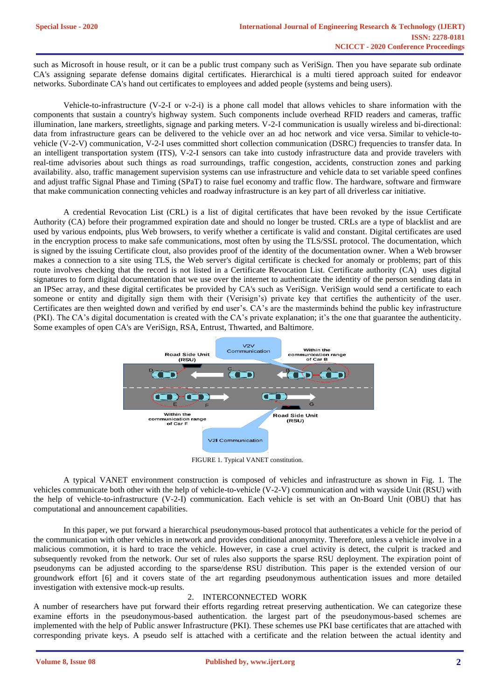such as Microsoft in house result, or it can be a public trust company such as VeriSign. Then you have separate sub ordinate CA's assigning separate defense domains digital certificates. Hierarchical is a multi tiered approach suited for endeavor networks. Subordinate CA's hand out certificates to employees and added people (systems and being users).

Vehicle-to-infrastructure (V-2-I or v-2-i) is a phone call model that allows vehicles to share information with the components that sustain a country's highway system. Such components include overhead [RFID](http://internetofthingsagenda.techtarget.com/definition/RFID-radio-frequency-identification) readers and cameras, traffic illumination, lane markers, streetlights, signage and parking meters. V-2-I communication is usually [wireless](http://searchmobilecomputing.techtarget.com/definition/wireless) and bi-directional: data from infrastructure gears can be delivered to the vehicle over an [ad hoc network](http://searchmobilecomputing.techtarget.com/definition/ad-hoc-network) and vice versa. Similar to [vehicle-to](http://internetofthingsagenda.techtarget.com/definition/vehicle-to-vehicle-communication-V2V-communication)[vehicle \(V-2-V\) communication,](http://internetofthingsagenda.techtarget.com/definition/vehicle-to-vehicle-communication-V2V-communication) V-2-I uses committed short collection communication (DSRC) frequencies to transfer data. In an intelligent transportation system (ITS), V-2-I [sensors](http://whatis.techtarget.com/definition/sensorhttp:/whatis.techtarget.com/definition/sensor) can take into custody infrastructure data and provide travelers with [real-time](http://whatis.techtarget.com/definition/real-time) advisories about such things as road surroundings, traffic congestion, accidents, construction zones and parking availability. also, traffic management supervision systems can use infrastructure and vehicle data to set variable speed confines and adjust traffic Signal Phase and Timing (SPaT) to raise fuel economy and traffic flow. The hardware, software and firmware that make communication connecting vehicles and roadway infrastructure is an key part of all [driverless car](http://whatis.techtarget.com/definition/driverless-car) initiative.

A credential Revocation List (CRL) is a list of [digital certificates](http://searchsecurity.techtarget.com/definition/digital-certificate) that have been revoked by the issue [Certificate](http://searchsecurity.techtarget.com/definition/certificate-authority)  [Authority](http://searchsecurity.techtarget.com/definition/certificate-authority) (CA) before their programmed expiration date and should no longer be trusted. CRLs are a type of blacklist and are used by various endpoints, plus [Web browsers,](http://searchwindevelopment.techtarget.com/definition/browser) to verify whether a certificate is valid and constant. Digital certificates are used in the [encryption](http://searchsecurity.techtarget.com/definition/encryption) process to make safe communications, most often by using the [TLS](http://searchsecurity.techtarget.com/definition/Transport-Layer-Security-TLS)[/SSL](http://searchsecurity.techtarget.com/definition/Secure-Sockets-Layer-SSL) protocol. The documentation, which is signed by the issuing Certificate clout, also provides proof of the identity of the documentation owner. When a Web browser makes a connection to a site using TLS, the Web server's digital certificate is checked for anomaly or problems; part of this route involves checking that the record is not listed in a Certificate Revocation List. Certificate authority (CA) uses digital signatures to form digital documentation that we use over the internet to authenticate the identity of the person sending data in an IPSec array, and these digital certificates be provided by CA's such as VeriSign. VeriSign would send a certificate to each someone or entity and digitally sign them with their (Verisign's) private key that certifies the authenticity of the user. Certificates are then weighted down and verified by end user's. CA's are the masterminds behind the public key infrastructure (PKI). The CA's digital documentation is created with the CA's private explanation; it's the one that guarantee the authenticity. Some examples of open CA's are VeriSign, RSA, Entrust, Thwarted, and Baltimore.



FIGURE 1. Typical VANET constitution.

A typical VANET environment construction is composed of vehicles and infrastructure as shown in Fig. 1. The vehicles communicate both other with the help of vehicle-to-vehicle (V-2-V) communication and with wayside Unit (RSU) with the help of vehicle-to-infrastructure (V-2-I) communication. Each vehicle is set with an On-Board Unit (OBU) that has computational and announcement capabilities.

In this paper, we put forward a hierarchical pseudonymous-based protocol that authenticates a vehicle for the period of the communication with other vehicles in network and provides conditional anonymity. Therefore, unless a vehicle involve in a malicious commotion, it is hard to trace the vehicle. However, in case a cruel activity is detect, the culprit is tracked and subsequently revoked from the network. Our set of rules also supports the sparse RSU deployment. The expiration point of pseudonyms can be adjusted according to the sparse/dense RSU distribution. This paper is the extended version of our groundwork effort [6] and it covers state of the art regarding pseudonymous authentication issues and more detailed investigation with extensive mock-up results.

# 2. INTERCONNECTED WORK

A number of researchers have put forward their efforts regarding retreat preserving authentication. We can categorize these examine efforts in the pseudonymous-based authentication. the largest part of the pseudonymous-based schemes are implemented with the help of Public answer Infrastructure (PKI). These schemes use PKI base certificates that are attached with corresponding private keys. A pseudo self is attached with a certificate and the relation between the actual identity and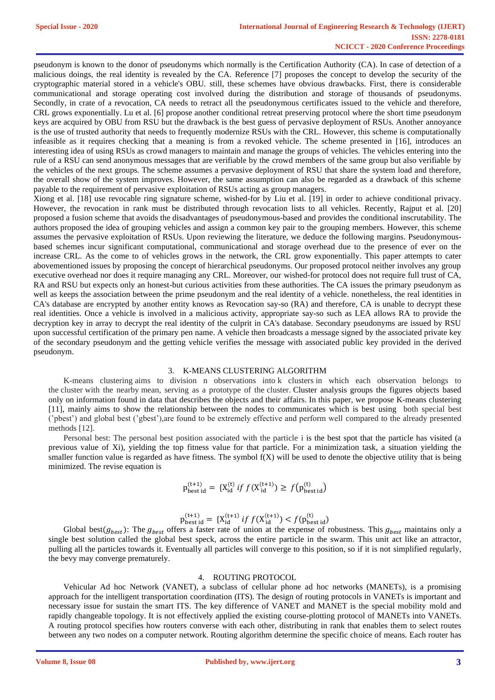pseudonym is known to the donor of pseudonyms which normally is the Certification Authority (CA). In case of detection of a malicious doings, the real identity is revealed by the CA. Reference [7] proposes the concept to develop the security of the cryptographic material stored in a vehicle's OBU. still, these schemes have obvious drawbacks. First, there is considerable communicational and storage operating cost involved during the distribution and storage of thousands of pseudonyms. Secondly, in crate of a revocation, CA needs to retract all the pseudonymous certificates issued to the vehicle and therefore, CRL grows exponentially. Lu et al. [6] propose another conditional retreat preserving protocol where the short time pseudonym keys are acquired by OBU from RSU but the drawback is the best guess of pervasive deployment of RSUs. Another annoyance is the use of trusted authority that needs to frequently modernize RSUs with the CRL. However, this scheme is computationally infeasible as it requires checking that a meaning is from a revoked vehicle. The scheme presented in [16], introduces an interesting idea of using RSUs as crowd managers to maintain and manage the groups of vehicles. The vehicles entering into the rule of a RSU can send anonymous messages that are verifiable by the crowd members of the same group but also verifiable by the vehicles of the next groups. The scheme assumes a pervasive deployment of RSU that share the system load and therefore, the overall show of the system improves. However, the same assumption can also be regarded as a drawback of this scheme payable to the requirement of pervasive exploitation of RSUs acting as group managers.

Xiong et al. [18] use revocable ring signature scheme, wished-for by Liu et al. [19] in order to achieve conditional privacy. However, the revocation in rank must be distributed through revocation lists to all vehicles. Recently, Rajput et al. [20] proposed a fusion scheme that avoids the disadvantages of pseudonymous-based and provides the conditional inscrutability. The authors proposed the idea of grouping vehicles and assign a common key pair to the grouping members. However, this scheme assumes the pervasive exploitation of RSUs. Upon reviewing the literature, we deduce the following margins. Pseudonymousbased schemes incur significant computational, communicational and storage overhead due to the presence of ever on the increase CRL. As the come to of vehicles grows in the network, the CRL grow exponentially. This paper attempts to cater abovementioned issues by proposing the concept of hierarchical pseudonyms. Our proposed protocol neither involves any group executive overhead nor does it require managing any CRL. Moreover, our wished-for protocol does not require full trust of CA, RA and RSU but expects only an honest-but curious activities from these authorities. The CA issues the primary pseudonym as well as keeps the association between the prime pseudonym and the real identity of a vehicle. nonetheless, the real identities in CA's database are encrypted by another entity knows as Revocation say-so (RA) and therefore, CA is unable to decrypt these real identities. Once a vehicle is involved in a malicious activity, appropriate say-so such as LEA allows RA to provide the decryption key in array to decrypt the real identity of the culprit in CA's database. Secondary pseudonyms are issued by RSU upon successful certification of the primary pen name. A vehicle then broadcasts a message signed by the associated private key of the secondary pseudonym and the getting vehicle verifies the message with associated public key provided in the derived pseudonym.

## 3. K-MEANS CLUSTERING ALGORITHM

K-means clustering aims to division n observations into k clusters in which each observation belongs to the cluster with the nearby mean, serving as a prototype of the cluster. Cluster analysis groups the figures objects based only on information found in data that describes the objects and their affairs. In this paper, we propose K-means clustering [11], mainly aims to show the relationship between the nodes to communicates which is best using both special best ('pbest') and global best ('gbest'),are found to be extremely effective and perform well compared to the already presented methods [12].

Personal best: The personal best position associated with the particle i is the best spot that the particle has visited (a previous value of Xi), yielding the top fitness value for that particle. For a minimization task, a situation yielding the smaller function value is regarded as have fitness. The symbol  $f(X)$  will be used to denote the objective utility that is being minimized. The revise equation is

$$
p_{\text{best id}}^{(t+1)} = \{X_{\text{id}}^{(t)} \text{ if } f(X_{\text{id}}^{(t+1)}) \ge f(p_{\text{best id}}^{(t)})\}
$$

$$
p_{\text{best id}}^{(t+1)} = \{X_{\text{id}}^{(t+1)} \text{ if } f(X_{\text{id}}^{(t+1)}) < f(p_{\text{best id}}^{(t)})
$$

Global best( $g_{best}$ ): The  $g_{best}$  offers a faster rate of union at the expense of robustness. This  $g_{best}$  maintains only a single best solution called the global best speck, across the entire particle in the swarm. This unit act like an attractor, pulling all the particles towards it. Eventually all particles will converge to this position, so if it is not simplified regularly, the bevy may converge prematurely.

## 4. ROUTING PROTOCOL

Vehicular Ad hoc Network (VANET), a subclass of cellular phone ad hoc networks (MANETs), is a promising approach for the intelligent transportation coordination (ITS). The design of routing protocols in VANETs is important and necessary issue for sustain the smart ITS. The key difference of VANET and MANET is the special mobility mold and rapidly changeable topology. It is not effectively applied the existing course-plotting protocol of MANETs into VANETs. A routing protocol specifies how routers converse with each other, distributing in rank that enables them to select routes between any two nodes on a computer network. Routing algorithm determine the specific choice of means. Each router has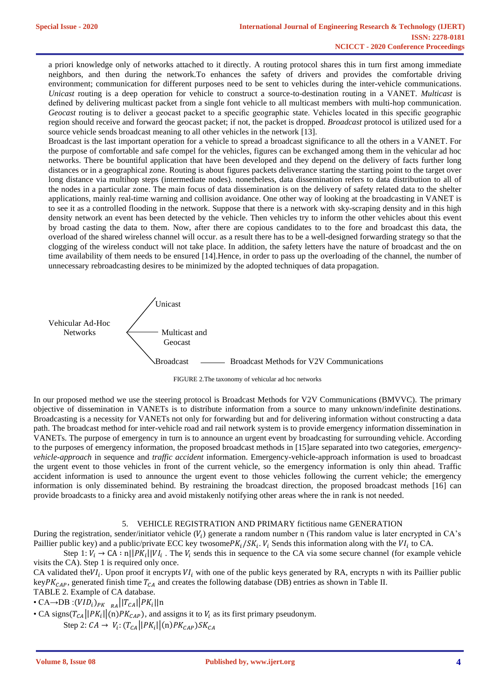a priori knowledge only of networks attached to it directly. A routing protocol shares this in turn first among immediate neighbors, and then during the network.To enhances the safety of drivers and provides the comfortable driving environment; communication for different purposes need to be sent to vehicles during the inter-vehicle communications. *Unicast* routing is a deep operation for vehicle to construct a source-to-destination routing in a VANET. *Multicast* is defined by delivering multicast packet from a single font vehicle to all multicast members with multi-hop communication. *Geocast* routing is to deliver a geocast packet to a specific geographic state. Vehicles located in this specific geographic region should receive and forward the geocast packet; if not, the packet is dropped. *Broadcast* protocol is utilized used for a source vehicle sends broadcast meaning to all other vehicles in the network [13].

Broadcast is the last important operation for a vehicle to spread a broadcast significance to all the others in a VANET. For the purpose of comfortable and safe compel for the vehicles, figures can be exchanged among them in the vehicular ad hoc networks. There be bountiful application that have been developed and they depend on the delivery of facts further long distances or in a geographical zone. Routing is about figures packets deliverance starting the starting point to the target over long distance via multihop steps (intermediate nodes). nonetheless, data dissemination refers to data distribution to all of the nodes in a particular zone. The main focus of data dissemination is on the delivery of safety related data to the shelter applications, mainly real-time warning and collision avoidance. One other way of looking at the broadcasting in VANET is to see it as a controlled flooding in the network. Suppose that there is a network with sky-scraping density and in this high density network an event has been detected by the vehicle. Then vehicles try to inform the other vehicles about this event by broad casting the data to them. Now, after there are copious candidates to to the fore and broadcast this data, the overload of the shared wireless channel will occur. as a result there has to be a well-designed forwarding strategy so that the clogging of the wireless conduct will not take place. In addition, the safety letters have the nature of broadcast and the on time availability of them needs to be ensured [14].Hence, in order to pass up the overloading of the channel, the number of unnecessary rebroadcasting desires to be minimized by the adopted techniques of data propagation.



FIGURE 2.The taxonomy of vehicular ad hoc networks

In our proposed method we use the steering protocol is Broadcast Methods for V2V Communications (BMVVC). The primary objective of dissemination in VANETs is to distribute information from a source to many unknown/indefinite destinations. Broadcasting is a necessity for VANETs not only for forwarding but and for delivering information without constructing a data path. The broadcast method for inter-vehicle road and rail network system is to provide emergency information dissemination in VANETs. The purpose of emergency in turn is to announce an urgent event by broadcasting for surrounding vehicle. According to the purposes of emergency information, the proposed broadcast methods in [15]are separated into two categories, *emergencyvehicle-approach* in sequence and *traffic accident* information. Emergency-vehicle-approach information is used to broadcast the urgent event to those vehicles in front of the current vehicle, so the emergency information is only thin ahead. Traffic accident information is used to announce the urgent event to those vehicles following the current vehicle; the emergency information is only disseminated behind. By restraining the broadcast direction, the proposed broadcast methods [16] can provide broadcasts to a finicky area and avoid mistakenly notifying other areas where the in rank is not needed.

## 5. VEHICLE REGISTRATION AND PRIMARY fictitious name GENERATION

During the registration, sender/initiator vehicle  $(V_i)$  generate a random number n (This random value is later encrypted in CA's Paillier public key) and a public/private ECC key twosome $PK_i/SK_i$ .  $V_i$  Sends this information along with the  $VI_i$  to CA.

Step 1:  $V_i \to CA : n||PK_i||VI_i$ . The  $V_i$  sends this in sequence to the CA via some secure channel (for example vehicle visits the CA). Step 1 is required only once.

CA validated the  $VI_i$ . Upon proof it encrypts  $VI_i$  with one of the public keys generated by RA, encrypts n with its Paillier public key $PK_{CAP}$ , generated finish time  $T_{CA}$  and creates the following database (DB) entries as shown in Table II. TABLE 2. Example of CA database.

• CA
$$
\rightarrow
$$
DB:  $(VID_i)_{PK}$   $_{RA}$   $||T_{CA}||PK_i||n$ 

• CA signs( $T_{CA}$ ||P $K_i$ ||(n)P $K_{CAP}$ ), and assigns it to  $V_i$  as its first primary pseudonym. Step 2:  $CA \rightarrow V_i: (T_{CA}||PK_i||(n)PK_{CAP})SK_{CA}$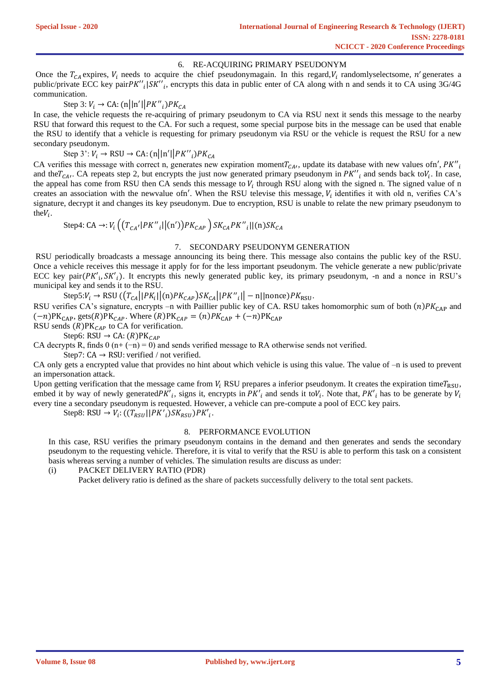# 6. RE-ACQUIRING PRIMARY PSEUDONYM

Once the  $T_{CA}$  expires,  $V_i$  needs to acquire the chief pseudonymagain. In this regard,  $V_i$  randomlyselectsome, n' generates a public/private ECC key pairPK"<sub>i</sub>|SK"<sub>i</sub>, encrypts this data in public enter of CA along with n and sends it to CA using 3G/4G communication.

# Step 3:  $V_i \rightarrow CA$ : (n||n'|| $PK''_i$ ) $PK_{CA}$

In case, the vehicle requests the re-acquiring of primary pseudonym to CA via RSU next it sends this message to the nearby RSU that forward this request to the CA. For such a request, some special purpose bits in the message can be used that enable the RSU to identify that a vehicle is requesting for primary pseudonym via RSU or the vehicle is request the RSU for a new secondary pseudonym.

Step 3':  $V_i \rightarrow \text{RSU} \rightarrow \text{CA:}(\text{n}||\text{n}'||PK''_i)PK_{CA}$ 

CA verifies this message with correct n, generates new expiration moment $T_{CA}$ , update its database with new values ofn',  $PK''$ <sub>i</sub> and the $T_{CA}$ . CA repeats step 2, but encrypts the just now generated primary pseudonym in  $PK''_i$  and sends back to $V_i$ . In case, the appeal has come from RSU then CA sends this message to  $V_i$  through RSU along with the signed n. The signed value of n creates an association with the newvalue ofn'. When the RSU televise this message,  $V_i$  identifies it with old n, verifies CA's signature, decrypt it and changes its key pseudonym. Due to encryption, RSU is unable to relate the new primary pseudonym to the $V_i$ .

Step4: CA  $\rightarrow$ :  $V_i$   $\left( \left( T_{CA'} |PK''_i| |(n') \right) PK_{CAP} \right) SK_{CA} PK''_i | |(n) SK_{CA}$ 

# 7. SECONDARY PSEUDONYM GENERATION

RSU periodically broadcasts a message announcing its being there. This message also contains the public key of the RSU. Once a vehicle receives this message it apply for for the less important pseudonym. The vehicle generate a new public/private ECC key pair $(PK'_1, SK'_1)$ . It encrypts this newly generated public key, its primary pseudonym, -n and a nonce in RSU's municipal key and sends it to the RSU.

Step5: $V_i \rightarrow \text{RSU}((T_{CA}||PK_i||(n)PK_{CAP})SK_{CA}||PK''_i|| - n||\text{nonce})PK_{\text{RSU}}.$ 

RSU verifies CA's signature, encrypts –n with Paillier public key of CA. RSU takes homomorphic sum of both  $(n)PK<sub>CAP</sub>$  and  $(-n)$ PK<sub>CAP</sub>, gets(R)PK<sub>CAP</sub>. Where (R)PK<sub>CAP</sub> = (n)PK<sub>CAP</sub> + (-n)PK<sub>CAP</sub>

RSU sends  $(R)PK_{CAP}$  to CA for verification.

Step6: RSU  $\rightarrow$  CA: (R)PK<sub>CAP</sub>

CA decrypts R, finds  $0$  (n+ (−n) = 0) and sends verified message to RA otherwise sends not verified.

Step7:  $CA \rightarrow RSU$ : verified / not verified.

CA only gets a encrypted value that provides no hint about which vehicle is using this value. The value of –n is used to prevent an impersonation attack.

Upon getting verification that the message came from  $V_i$  RSU prepares a inferior pseudonym. It creates the expiration time $T_{\text{RSI}}$ , embed it by way of newly generated $PK'_{i}$ , signs it, encrypts in  $PK'_{i}$  and sends it to $V_{i}$ . Note that,  $PK'_{i}$  has to be generate by  $V_{i}$ every tine a secondary pseudonym is requested. However, a vehicle can pre-compute a pool of ECC key pairs.

Step8: RSU  $\rightarrow V_i: ((T_{RSU}||PK'_{i})SK_{RSU})PK'_{i}.$ 

# 8. PERFORMANCE EVOLUTION

In this case, RSU verifies the primary pseudonym contains in the demand and then generates and sends the secondary pseudonym to the requesting vehicle. Therefore, it is vital to verify that the RSU is able to perform this task on a consistent basis whereas serving a number of vehicles. The simulation results are discuss as under:

(i) PACKET DELIVERY RATIO (PDR)

Packet delivery ratio is defined as the share of packets successfully delivery to the total sent packets.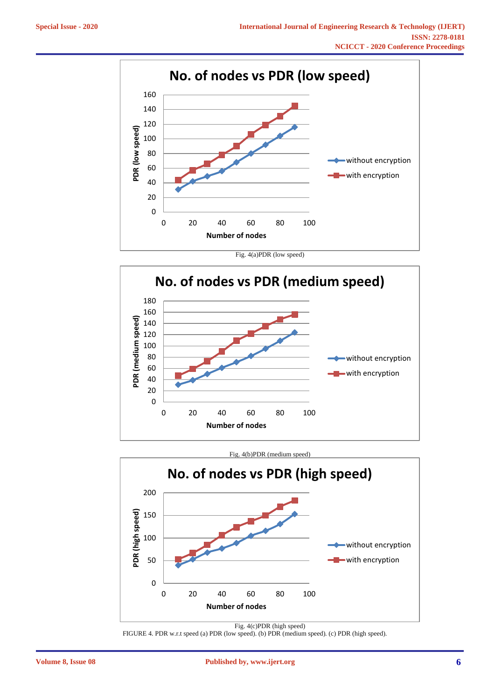





FIGURE 4. PDR w.r.t speed (a) PDR (low speed). (b) PDR (medium speed). (c) PDR (high speed).